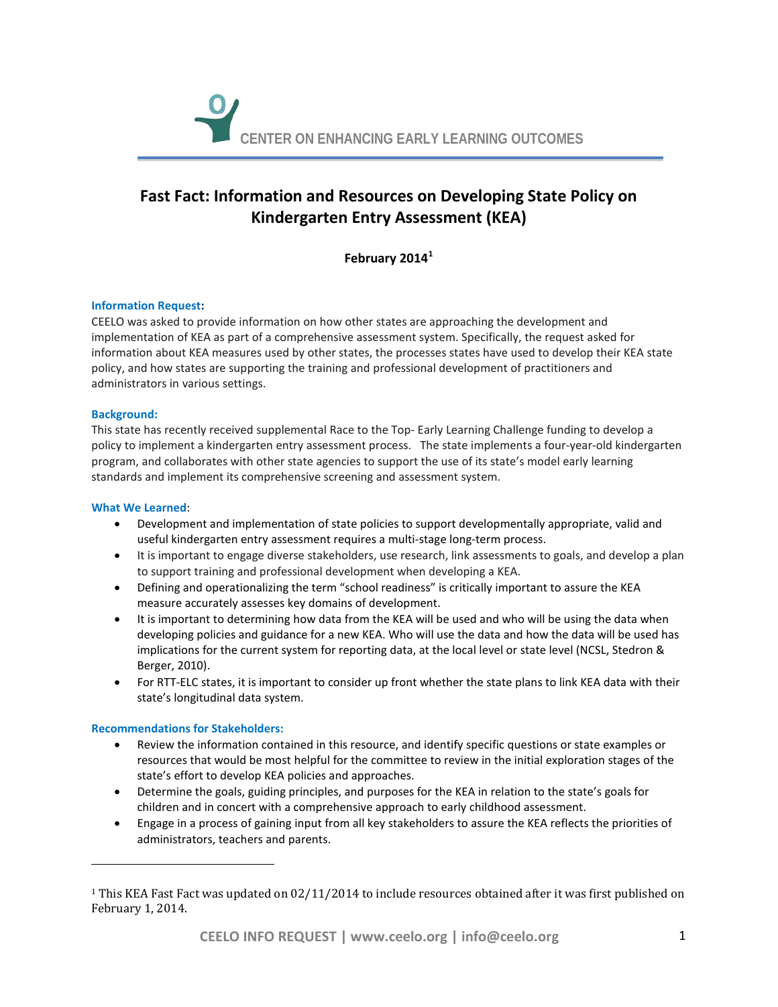

# **Fast Fact: Information and Resources on Developing State Policy on Kindergarten Entry Assessment (KEA)**

**February 2014[1](#page-0-0)**

# **Information Request:**

CEELO was asked to provide information on how other states are approaching the development and implementation of KEA as part of a comprehensive assessment system. Specifically, the request asked for information about KEA measures used by other states, the processes states have used to develop their KEA state policy, and how states are supporting the training and professional development of practitioners and administrators in various settings.

# **Background:**

This state has recently received supplemental Race to the Top- Early Learning Challenge funding to develop a policy to implement a kindergarten entry assessment process. The state implements a four-year-old kindergarten program, and collaborates with other state agencies to support the use of its state's model early learning standards and implement its comprehensive screening and assessment system.

# **What We Learned**:

j

- Development and implementation of state policies to support developmentally appropriate, valid and useful kindergarten entry assessment requires a multi-stage long-term process.
- It is important to engage diverse stakeholders, use research, link assessments to goals, and develop a plan to support training and professional development when developing a KEA.
- Defining and operationalizing the term "school readiness" is critically important to assure the KEA measure accurately assesses key domains of development.
- It is important to determining how data from the KEA will be used and who will be using the data when developing policies and guidance for a new KEA. Who will use the data and how the data will be used has implications for the current system for reporting data, at the local level or state level (NCSL, Stedron & Berger, 2010).
- For RTT-ELC states, it is important to consider up front whether the state plans to link KEA data with their state's longitudinal data system.

# **Recommendations for Stakeholders:**

- Review the information contained in this resource, and identify specific questions or state examples or resources that would be most helpful for the committee to review in the initial exploration stages of the state's effort to develop KEA policies and approaches.
- Determine the goals, guiding principles, and purposes for the KEA in relation to the state's goals for children and in concert with a comprehensive approach to early childhood assessment.
- Engage in a process of gaining input from all key stakeholders to assure the KEA reflects the priorities of administrators, teachers and parents.

<span id="page-0-0"></span><sup>&</sup>lt;sup>1</sup> This KEA Fast Fact was updated on 02/11/2014 to include resources obtained after it was first published on February 1, 2014.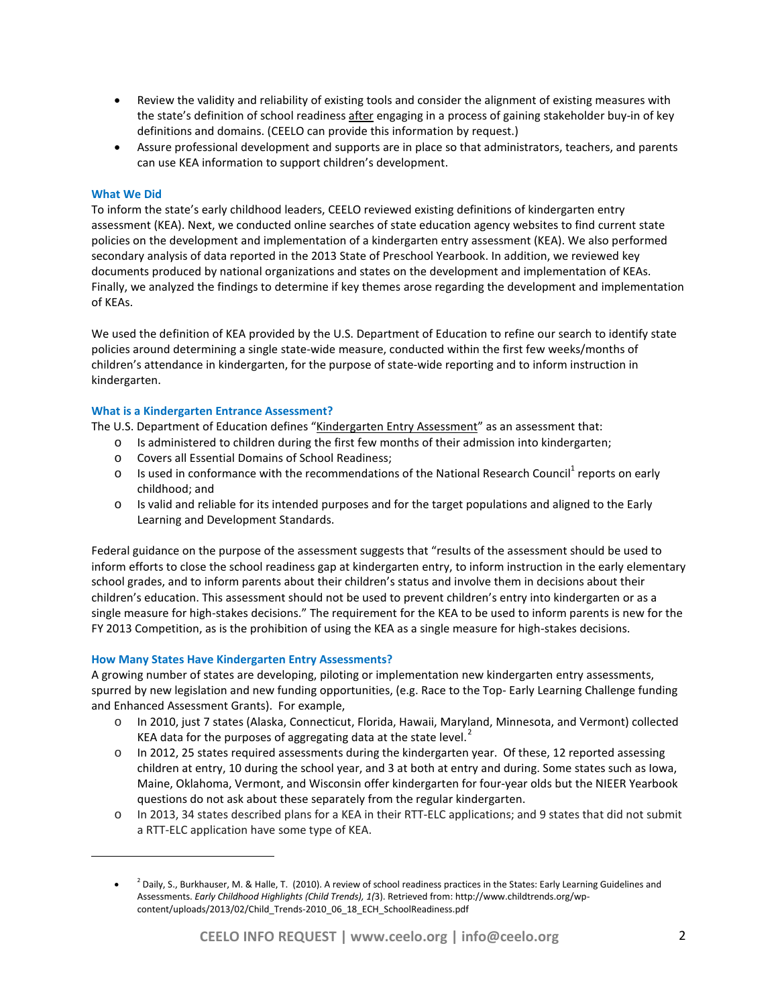- Review the validity and reliability of existing tools and consider the alignment of existing measures with the state's definition of school readiness after engaging in a process of gaining stakeholder buy-in of key definitions and domains. (CEELO can provide this information by request.)
- Assure professional development and supports are in place so that administrators, teachers, and parents can use KEA information to support children's development.

# **What We Did**

<span id="page-1-0"></span>j

To inform the state's early childhood leaders, CEELO reviewed existing definitions of kindergarten entry assessment (KEA). Next, we conducted online searches of state education agency websites to find current state policies on the development and implementation of a kindergarten entry assessment (KEA). We also performed secondary analysis of data reported in the 2013 State of Preschool Yearbook. In addition, we reviewed key documents produced by national organizations and states on the development and implementation of KEAs. Finally, we analyzed the findings to determine if key themes arose regarding the development and implementation of KEAs.

We used the definition of KEA provided by the U.S. Department of Education to refine our search to identify state policies around determining a single state-wide measure, conducted within the first few weeks/months of children's attendance in kindergarten, for the purpose of state-wide reporting and to inform instruction in kindergarten.

### **What is a Kindergarten Entrance Assessment?**

The U.S. Department of Education defines "Kindergarten Entry Assessment" as an assessment that:

- o Is administered to children during the first few months of their admission into kindergarten;
- o Covers all Essential Domains of School Readiness;
- $\circ$  Is used in conformance with the recommendations of the National Research Council<sup>1</sup> reports on early childhood; and
- o Is valid and reliable for its intended purposes and for the target populations and aligned to the Early Learning and Development Standards.

Federal guidance on the purpose of the assessment suggests that "results of the assessment should be used to inform efforts to close the school readiness gap at kindergarten entry, to inform instruction in the early elementary school grades, and to inform parents about their children's status and involve them in decisions about their children's education. This assessment should not be used to prevent children's entry into kindergarten or as a single measure for high-stakes decisions." The requirement for the KEA to be used to inform parents is new for the FY 2013 Competition, as is the prohibition of using the KEA as a single measure for high-stakes decisions.

### **How Many States Have Kindergarten Entry Assessments?**

A growing number of states are developing, piloting or implementation new kindergarten entry assessments, spurred by new legislation and new funding opportunities, (e.g. Race to the Top- Early Learning Challenge funding and Enhanced Assessment Grants). For example,

- o In 2010, just 7 states (Alaska, Connecticut, Florida, Hawaii, Maryland, Minnesota, and Vermont) collected KEA data for the purposes of aggregating data at the state level. $<sup>2</sup>$  $<sup>2</sup>$  $<sup>2</sup>$ </sup>
- o In 2012, 25 states required assessments during the kindergarten year. Of these, 12 reported assessing children at entry, 10 during the school year, and 3 at both at entry and during. Some states such as Iowa, Maine, Oklahoma, Vermont, and Wisconsin offer kindergarten for four-year olds but the NIEER Yearbook questions do not ask about these separately from the regular kindergarten.
- o In 2013, 34 states described plans for a KEA in their RTT-ELC applications; and 9 states that did not submit a RTT-ELC application have some type of KEA.

<sup>&</sup>lt;sup>2</sup> Daily, S., Burkhauser, M. & Halle, T. (2010). A review of school readiness practices in the States: Early Learning Guidelines and Assessments. *Early Childhood Highlights (Child Trends), 1(*3). Retrieved from: http://www.childtrends.org/wpcontent/uploads/2013/02/Child\_Trends-2010\_06\_18\_ECH\_SchoolReadiness.pdf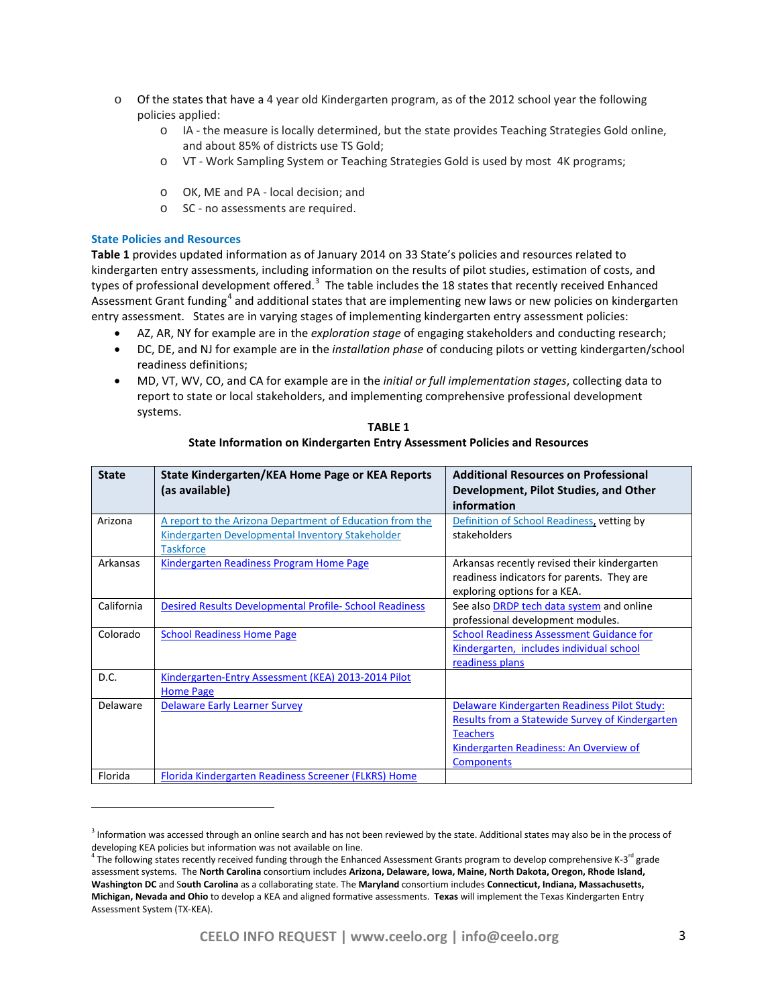- o Of the states that have a 4 year old Kindergarten program, as of the 2012 school year the following policies applied:
	- o IA the measure is locally determined, but the state provides Teaching Strategies Gold online, and about 85% of districts use TS Gold;
	- o VT Work Sampling System or Teaching Strategies Gold is used by most 4K programs;
	- o OK, ME and PA local decision; and
	- o SC no assessments are required.

### **State Policies and Resources**

j

**Table 1** provides updated information as of January 2014 on 33 State's policies and resources related to kindergarten entry assessments, including information on the results of pilot studies, estimation of costs, and types of professional development offered.<sup>[3](#page-2-0)</sup> The table includes the 18 states that recently received Enhanced Assessment Grant funding<sup>[4](#page-2-1)</sup> and additional states that are implementing new laws or new policies on kindergarten entry assessment. States are in varying stages of implementing kindergarten entry assessment policies:

- AZ, AR, NY for example are in the *exploration stage* of engaging stakeholders and conducting research;
- DC, DE, and NJ for example are in the *installation phase* of conducing pilots or vetting kindergarten/school readiness definitions;
- MD, VT, WV, CO, and CA for example are in the *initial or full implementation stages*, collecting data to report to state or local stakeholders, and implementing comprehensive professional development systems.

| <b>State</b> | State Kindergarten/KEA Home Page or KEA Reports                | <b>Additional Resources on Professional</b>     |
|--------------|----------------------------------------------------------------|-------------------------------------------------|
|              | (as available)                                                 | Development, Pilot Studies, and Other           |
|              |                                                                | information                                     |
| Arizona      | A report to the Arizona Department of Education from the       | Definition of School Readiness, vetting by      |
|              | Kindergarten Developmental Inventory Stakeholder               | stakeholders                                    |
|              | <b>Taskforce</b>                                               |                                                 |
| Arkansas     | Kindergarten Readiness Program Home Page                       | Arkansas recently revised their kindergarten    |
|              |                                                                | readiness indicators for parents. They are      |
|              |                                                                | exploring options for a KEA.                    |
| California   | <b>Desired Results Developmental Profile- School Readiness</b> | See also DRDP tech data system and online       |
|              |                                                                | professional development modules.               |
| Colorado     | <b>School Readiness Home Page</b>                              | <b>School Readiness Assessment Guidance for</b> |
|              |                                                                | Kindergarten, includes individual school        |
|              |                                                                | readiness plans                                 |
| D.C.         | Kindergarten-Entry Assessment (KEA) 2013-2014 Pilot            |                                                 |
|              | <b>Home Page</b>                                               |                                                 |
| Delaware     | <b>Delaware Early Learner Survey</b>                           | Delaware Kindergarten Readiness Pilot Study:    |
|              |                                                                | Results from a Statewide Survey of Kindergarten |
|              |                                                                | <b>Teachers</b>                                 |
|              |                                                                | Kindergarten Readiness: An Overview of          |
|              |                                                                | <b>Components</b>                               |
| Florida      | Florida Kindergarten Readiness Screener (FLKRS) Home           |                                                 |

**TABLE 1 State Information on Kindergarten Entry Assessment Policies and Resources**

<span id="page-2-0"></span><sup>&</sup>lt;sup>3</sup> Information was accessed through an online search and has not been reviewed by the state. Additional states may also be in the process of developing KEA policies but information was not available on line.

<span id="page-2-1"></span> $^4$  The following states recently received funding through the Enhanced Assessment Grants program to develop comprehensive K-3<sup>rd</sup> grade assessment systems. The **North Carolina** consortium includes **Arizona, Delaware, Iowa, Maine, North Dakota, Oregon, Rhode Island, Washington DC** and S**outh Carolina** as a collaborating state. The **Maryland** consortium includes **Connecticut, Indiana, Massachusetts, Michigan, Nevada and Ohio** to develop a KEA and aligned formative assessments. **Texas** will implement the Texas Kindergarten Entry Assessment System (TX-KEA).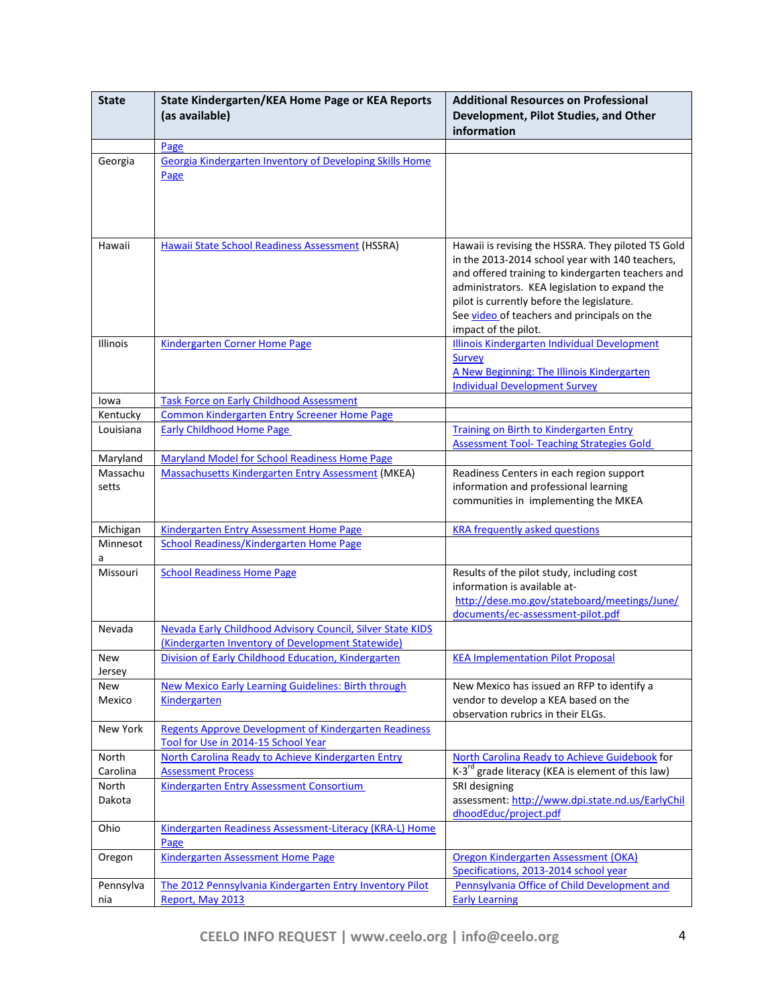| <b>State</b> | State Kindergarten/KEA Home Page or KEA Reports              | <b>Additional Resources on Professional</b>                                           |
|--------------|--------------------------------------------------------------|---------------------------------------------------------------------------------------|
|              | (as available)                                               | Development, Pilot Studies, and Other                                                 |
|              |                                                              | information                                                                           |
|              | Page                                                         |                                                                                       |
|              | Georgia Kindergarten Inventory of Developing Skills Home     |                                                                                       |
| Georgia      |                                                              |                                                                                       |
|              | Page                                                         |                                                                                       |
|              |                                                              |                                                                                       |
|              |                                                              |                                                                                       |
|              |                                                              |                                                                                       |
| Hawaii       | Hawaii State School Readiness Assessment (HSSRA)             | Hawaii is revising the HSSRA. They piloted TS Gold                                    |
|              |                                                              | in the 2013-2014 school year with 140 teachers,                                       |
|              |                                                              | and offered training to kindergarten teachers and                                     |
|              |                                                              | administrators. KEA legislation to expand the                                         |
|              |                                                              | pilot is currently before the legislature.                                            |
|              |                                                              | See video of teachers and principals on the                                           |
|              |                                                              | impact of the pilot.                                                                  |
| Illinois     | <b>Kindergarten Corner Home Page</b>                         | Illinois Kindergarten Individual Development                                          |
|              |                                                              | <b>Survey</b>                                                                         |
|              |                                                              | A New Beginning: The Illinois Kindergarten                                            |
|              |                                                              | <b>Individual Development Survey</b>                                                  |
| lowa         | <b>Task Force on Early Childhood Assessment</b>              |                                                                                       |
| Kentucky     | <b>Common Kindergarten Entry Screener Home Page</b>          |                                                                                       |
| Louisiana    | <b>Early Childhood Home Page</b>                             | <b>Training on Birth to Kindergarten Entry</b>                                        |
|              |                                                              | <b>Assessment Tool- Teaching Strategies Gold</b>                                      |
| Maryland     | <b>Maryland Model for School Readiness Home Page</b>         |                                                                                       |
| Massachu     | <b>Massachusetts Kindergarten Entry Assessment (MKEA)</b>    | Readiness Centers in each region support                                              |
| setts        |                                                              | information and professional learning                                                 |
|              |                                                              | communities in implementing the MKEA                                                  |
| Michigan     | <b>Kindergarten Entry Assessment Home Page</b>               | <b>KRA frequently asked questions</b>                                                 |
| Minnesot     | <b>School Readiness/Kindergarten Home Page</b>               |                                                                                       |
| a            |                                                              |                                                                                       |
| Missouri     | <b>School Readiness Home Page</b>                            | Results of the pilot study, including cost                                            |
|              |                                                              | information is available at-                                                          |
|              |                                                              | http://dese.mo.gov/stateboard/meetings/June/                                          |
|              |                                                              | documents/ec-assessment-pilot.pdf                                                     |
| Nevada       | Nevada Early Childhood Advisory Council, Silver State KIDS   |                                                                                       |
|              | (Kindergarten Inventory of Development Statewide)            |                                                                                       |
| New          | Division of Early Childhood Education, Kindergarten          | <b>KEA Implementation Pilot Proposal</b>                                              |
| Jersey       |                                                              |                                                                                       |
| <b>New</b>   | New Mexico Early Learning Guidelines: Birth through          | New Mexico has issued an RFP to identify a                                            |
| Mexico       | <b>Kindergarten</b>                                          | vendor to develop a KEA based on the                                                  |
|              |                                                              | observation rubrics in their ELGs.                                                    |
| New York     | <b>Regents Approve Development of Kindergarten Readiness</b> |                                                                                       |
|              | Tool for Use in 2014-15 School Year                          |                                                                                       |
| North        | North Carolina Ready to Achieve Kindergarten Entry           | North Carolina Ready to Achieve Guidebook for                                         |
| Carolina     | <b>Assessment Process</b>                                    | K-3 <sup>rd</sup> grade literacy (KEA is element of this law)                         |
| North        | <b>Kindergarten Entry Assessment Consortium</b>              | SRI designing                                                                         |
| Dakota       |                                                              | assessment: http://www.dpi.state.nd.us/EarlyChil                                      |
|              |                                                              | dhoodEduc/project.pdf                                                                 |
| Ohio         | Kindergarten Readiness Assessment-Literacy (KRA-L) Home      |                                                                                       |
|              | Page                                                         |                                                                                       |
| Oregon       | <b>Kindergarten Assessment Home Page</b>                     | Oregon Kindergarten Assessment (OKA)                                                  |
| Pennsylva    | The 2012 Pennsylvania Kindergarten Entry Inventory Pilot     | Specifications, 2013-2014 school year<br>Pennsylvania Office of Child Development and |
| nia          | Report, May 2013                                             | <b>Early Learning</b>                                                                 |
|              |                                                              |                                                                                       |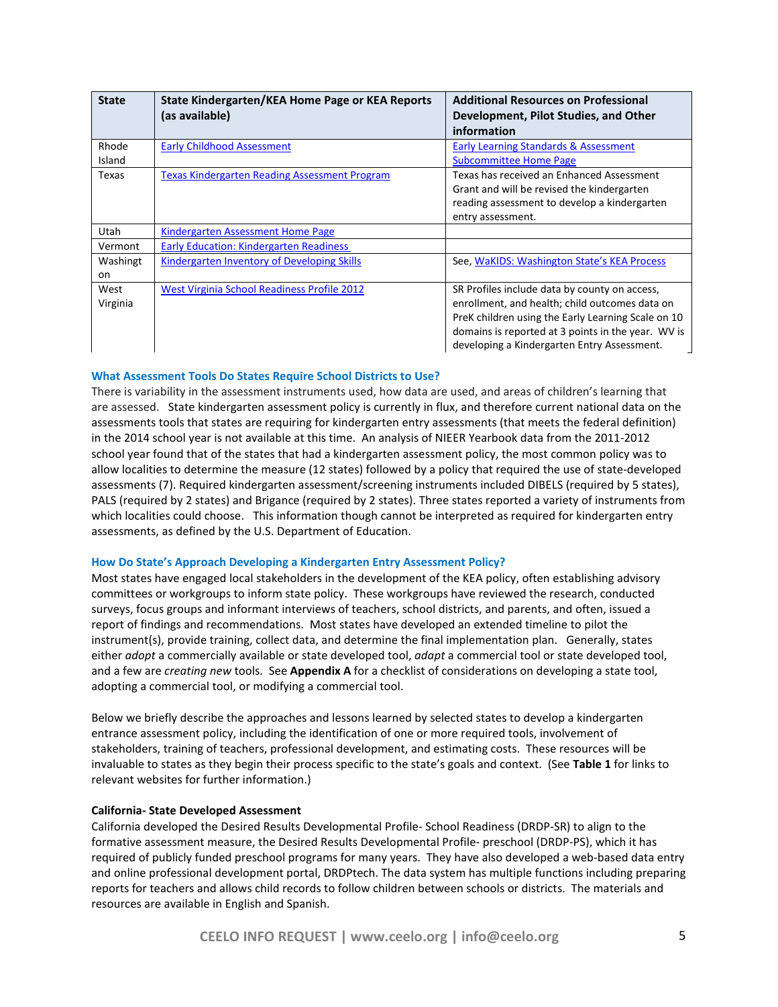| <b>State</b>  | State Kindergarten/KEA Home Page or KEA Reports<br>(as available) | <b>Additional Resources on Professional</b><br>Development, Pilot Studies, and Other<br>information |
|---------------|-------------------------------------------------------------------|-----------------------------------------------------------------------------------------------------|
| Rhode         | <b>Early Childhood Assessment</b>                                 | <b>Early Learning Standards &amp; Assessment</b>                                                    |
| Island        |                                                                   | <b>Subcommittee Home Page</b>                                                                       |
| Texas         | <b>Texas Kindergarten Reading Assessment Program</b>              | Texas has received an Enhanced Assessment                                                           |
|               |                                                                   | Grant and will be revised the kindergarten                                                          |
|               |                                                                   | reading assessment to develop a kindergarten                                                        |
|               |                                                                   | entry assessment.                                                                                   |
| Utah          | Kindergarten Assessment Home Page                                 |                                                                                                     |
| Vermont       | <b>Early Education: Kindergarten Readiness</b>                    |                                                                                                     |
| Washingt      | <b>Kindergarten Inventory of Developing Skills</b>                | See, WaKIDS: Washington State's KEA Process                                                         |
| <sub>on</sub> |                                                                   |                                                                                                     |
| West          | <b>West Virginia School Readiness Profile 2012</b>                | SR Profiles include data by county on access,                                                       |
| Virginia      |                                                                   | enrollment, and health; child outcomes data on                                                      |
|               |                                                                   | PreK children using the Early Learning Scale on 10                                                  |
|               |                                                                   | domains is reported at 3 points in the year. WV is                                                  |
|               |                                                                   | developing a Kindergarten Entry Assessment.                                                         |

# **What Assessment Tools Do States Require School Districts to Use?**

There is variability in the assessment instruments used, how data are used, and areas of children's learning that are assessed. State kindergarten assessment policy is currently in flux, and therefore current national data on the assessments tools that states are requiring for kindergarten entry assessments (that meets the federal definition) in the 2014 school year is not available at this time. An analysis of NIEER Yearbook data from the 2011-2012 school year found that of the states that had a kindergarten assessment policy, the most common policy was to allow localities to determine the measure (12 states) followed by a policy that required the use of state-developed assessments (7). Required kindergarten assessment/screening instruments included DIBELS (required by 5 states), PALS (required by 2 states) and Brigance (required by 2 states). Three states reported a variety of instruments from which localities could choose. This information though cannot be interpreted as required for kindergarten entry assessments, as defined by the U.S. Department of Education.

### **How Do State's Approach Developing a Kindergarten Entry Assessment Policy?**

Most states have engaged local stakeholders in the development of the KEA policy, often establishing advisory committees or workgroups to inform state policy. These workgroups have reviewed the research, conducted surveys, focus groups and informant interviews of teachers, school districts, and parents, and often, issued a report of findings and recommendations. Most states have developed an extended timeline to pilot the instrument(s), provide training, collect data, and determine the final implementation plan. Generally, states either *adopt* a commercially available or state developed tool, *adapt* a commercial tool or state developed tool, and a few are *creating new* tools. See **Appendix A** for a checklist of considerations on developing a state tool, adopting a commercial tool, or modifying a commercial tool.

Below we briefly describe the approaches and lessons learned by selected states to develop a kindergarten entrance assessment policy, including the identification of one or more required tools, involvement of stakeholders, training of teachers, professional development, and estimating costs. These resources will be invaluable to states as they begin their process specific to the state's goals and context. (See **Table 1** for links to relevant websites for further information.)

### **California- State Developed Assessment**

California developed the Desired Results Developmental Profile- School Readiness (DRDP-SR) to align to the formative assessment measure, the Desired Results Developmental Profile- preschool (DRDP-PS), which it has required of publicly funded preschool programs for many years. They have also developed a web-based data entry and online professional development portal, DRDPtech. The data system has multiple functions including preparing reports for teachers and allows child records to follow children between schools or districts. The materials and resources are available in English and Spanish.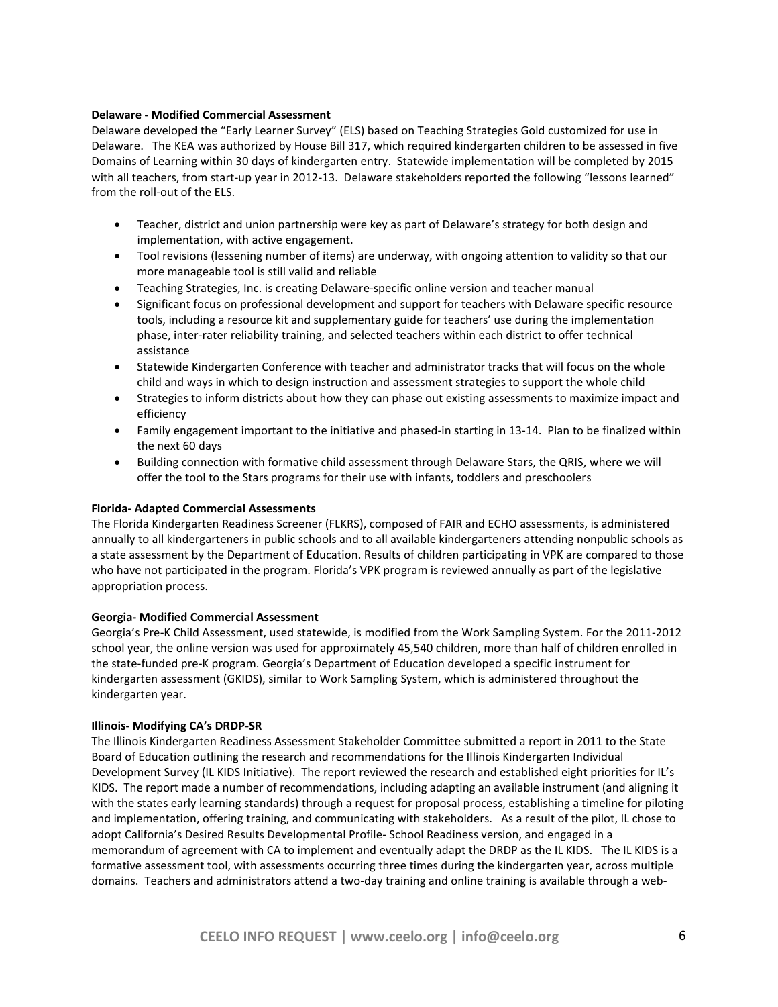# **Delaware - Modified Commercial Assessment**

Delaware developed the "Early Learner Survey" (ELS) based on Teaching Strategies Gold customized for use in Delaware. The KEA was authorized by House Bill 317, which required kindergarten children to be assessed in five Domains of Learning within 30 days of kindergarten entry. Statewide implementation will be completed by 2015 with all teachers, from start-up year in 2012-13. Delaware stakeholders reported the following "lessons learned" from the roll-out of the ELS.

- Teacher, district and union partnership were key as part of Delaware's strategy for both design and implementation, with active engagement.
- Tool revisions (lessening number of items) are underway, with ongoing attention to validity so that our more manageable tool is still valid and reliable
- Teaching Strategies, Inc. is creating Delaware-specific online version and teacher manual
- Significant focus on professional development and support for teachers with Delaware specific resource tools, including a resource kit and supplementary guide for teachers' use during the implementation phase, inter-rater reliability training, and selected teachers within each district to offer technical assistance
- Statewide Kindergarten Conference with teacher and administrator tracks that will focus on the whole child and ways in which to design instruction and assessment strategies to support the whole child
- Strategies to inform districts about how they can phase out existing assessments to maximize impact and efficiency
- Family engagement important to the initiative and phased-in starting in 13-14. Plan to be finalized within the next 60 days
- Building connection with formative child assessment through Delaware Stars, the QRIS, where we will offer the tool to the Stars programs for their use with infants, toddlers and preschoolers

## **Florida- Adapted Commercial Assessments**

The Florida Kindergarten Readiness Screener (FLKRS), composed of FAIR and ECHO assessments, is administered annually to all kindergarteners in public schools and to all available kindergarteners attending nonpublic schools as a state assessment by the Department of Education. Results of children participating in VPK are compared to those who have not participated in the program. Florida's VPK program is reviewed annually as part of the legislative appropriation process.

# **Georgia- Modified Commercial Assessment**

Georgia's Pre-K Child Assessment, used statewide, is modified from the Work Sampling System. For the 2011-2012 school year, the online version was used for approximately 45,540 children, more than half of children enrolled in the state-funded pre-K program. Georgia's Department of Education developed a specific instrument for kindergarten assessment (GKIDS), similar to Work Sampling System, which is administered throughout the kindergarten year.

### **Illinois- Modifying CA's DRDP-SR**

The Illinois Kindergarten Readiness Assessment Stakeholder Committee submitted a report in 2011 to the State Board of Education outlining the research and recommendations for the Illinois Kindergarten Individual Development Survey (IL KIDS Initiative). The report reviewed the research and established eight priorities for IL's KIDS. The report made a number of recommendations, including adapting an available instrument (and aligning it with the states early learning standards) through a request for proposal process, establishing a timeline for piloting and implementation, offering training, and communicating with stakeholders. As a result of the pilot, IL chose to adopt California's Desired Results Developmental Profile- School Readiness version, and engaged in a memorandum of agreement with CA to implement and eventually adapt the DRDP as the IL KIDS. The IL KIDS is a formative assessment tool, with assessments occurring three times during the kindergarten year, across multiple domains. Teachers and administrators attend a two-day training and online training is available through a web-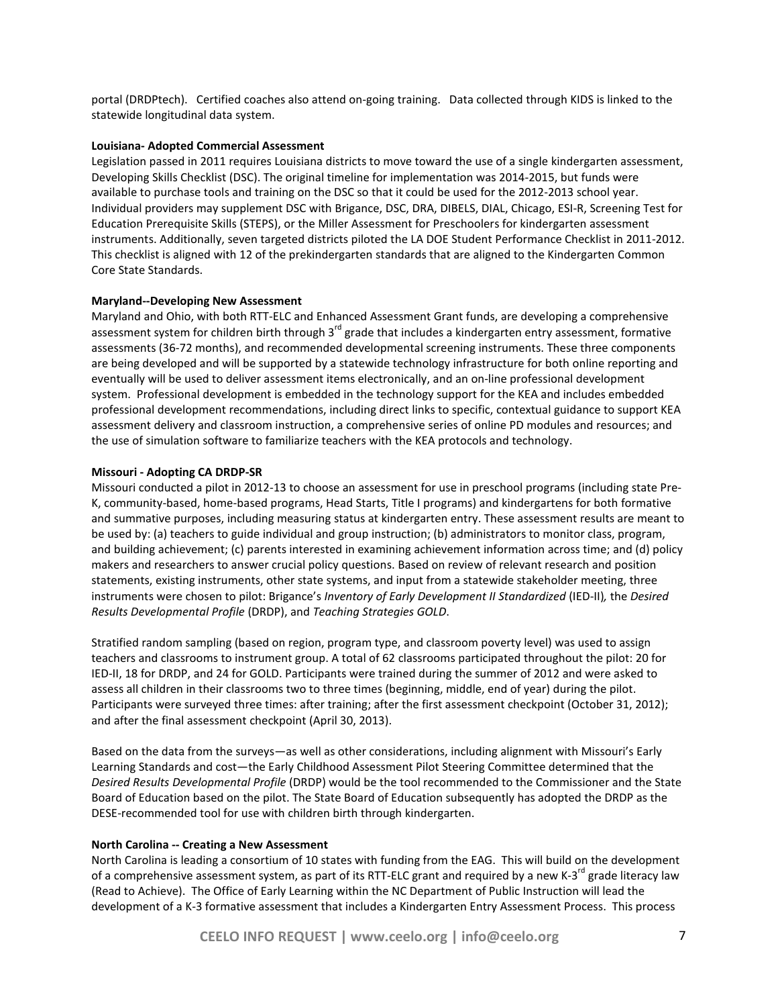portal (DRDPtech). Certified coaches also attend on-going training. Data collected through KIDS is linked to the statewide longitudinal data system.

#### **Louisiana- Adopted Commercial Assessment**

Legislation passed in 2011 requires Louisiana districts to move toward the use of a single kindergarten assessment, Developing Skills Checklist (DSC). The original timeline for implementation was 2014-2015, but funds were available to purchase tools and training on the DSC so that it could be used for the 2012-2013 school year. Individual providers may supplement DSC with Brigance, DSC, DRA, DIBELS, DIAL, Chicago, ESI-R, Screening Test for Education Prerequisite Skills (STEPS), or the Miller Assessment for Preschoolers for kindergarten assessment instruments. Additionally, seven targeted districts piloted the LA DOE Student Performance Checklist in 2011-2012. This checklist is aligned with 12 of the prekindergarten standards that are aligned to the Kindergarten Common Core State Standards.

#### **Maryland--Developing New Assessment**

Maryland and Ohio, with both RTT-ELC and Enhanced Assessment Grant funds, are developing a comprehensive assessment system for children birth through  $3^{rd}$  grade that includes a kindergarten entry assessment, formative assessments (36-72 months), and recommended developmental screening instruments. These three components are being developed and will be supported by a statewide technology infrastructure for both online reporting and eventually will be used to deliver assessment items electronically, and an on-line professional development system. Professional development is embedded in the technology support for the KEA and includes embedded professional development recommendations, including direct links to specific, contextual guidance to support KEA assessment delivery and classroom instruction, a comprehensive series of online PD modules and resources; and the use of simulation software to familiarize teachers with the KEA protocols and technology.

#### **Missouri - Adopting CA DRDP-SR**

Missouri conducted a pilot in 2012-13 to choose an assessment for use in preschool programs (including state Pre-K, community-based, home-based programs, Head Starts, Title I programs) and kindergartens for both formative and summative purposes, including measuring status at kindergarten entry. These assessment results are meant to be used by: (a) teachers to guide individual and group instruction; (b) administrators to monitor class, program, and building achievement; (c) parents interested in examining achievement information across time; and (d) policy makers and researchers to answer crucial policy questions. Based on review of relevant research and position statements, existing instruments, other state systems, and input from a statewide stakeholder meeting, three instruments were chosen to pilot: Brigance's *Inventory of Early Development II Standardized* (IED-II)*,* the *Desired Results Developmental Profile* (DRDP), and *Teaching Strategies GOLD*.

Stratified random sampling (based on region, program type, and classroom poverty level) was used to assign teachers and classrooms to instrument group. A total of 62 classrooms participated throughout the pilot: 20 for IED-II, 18 for DRDP, and 24 for GOLD. Participants were trained during the summer of 2012 and were asked to assess all children in their classrooms two to three times (beginning, middle, end of year) during the pilot. Participants were surveyed three times: after training; after the first assessment checkpoint (October 31, 2012); and after the final assessment checkpoint (April 30, 2013).

Based on the data from the surveys—as well as other considerations, including alignment with Missouri's Early Learning Standards and cost—the Early Childhood Assessment Pilot Steering Committee determined that the *Desired Results Developmental Profile* (DRDP) would be the tool recommended to the Commissioner and the State Board of Education based on the pilot. The State Board of Education subsequently has adopted the DRDP as the DESE-recommended tool for use with children birth through kindergarten.

#### **North Carolina -- Creating a New Assessment**

North Carolina is leading a consortium of 10 states with funding from the EAG. This will build on the development of a comprehensive assessment system, as part of its RTT-ELC grant and required by a new K-3<sup>rd</sup> grade literacy law (Read to Achieve). The Office of Early Learning within the NC Department of Public Instruction will lead the development of a K-3 formative assessment that includes a Kindergarten Entry Assessment Process. This process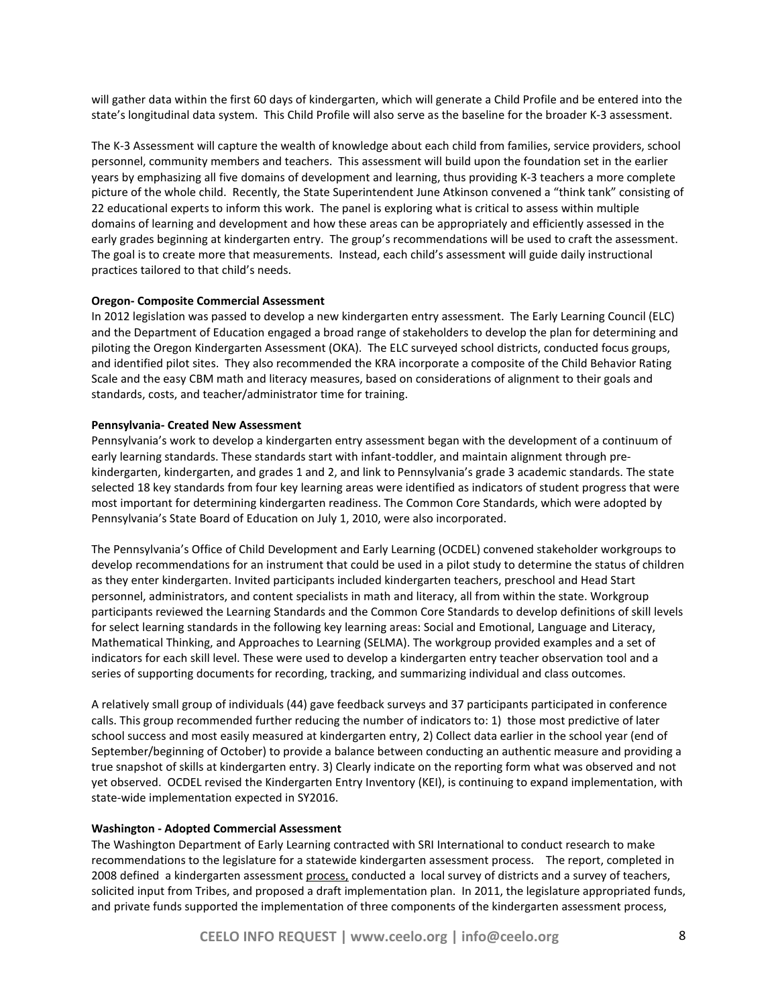will gather data within the first 60 days of kindergarten, which will generate a Child Profile and be entered into the state's longitudinal data system. This Child Profile will also serve as the baseline for the broader K-3 assessment.

The K-3 Assessment will capture the wealth of knowledge about each child from families, service providers, school personnel, community members and teachers. This assessment will build upon the foundation set in the earlier years by emphasizing all five domains of development and learning, thus providing K-3 teachers a more complete picture of the whole child. Recently, the State Superintendent June Atkinson convened a "think tank" consisting of 22 educational experts to inform this work. The panel is exploring what is critical to assess within multiple domains of learning and development and how these areas can be appropriately and efficiently assessed in the early grades beginning at kindergarten entry. The group's recommendations will be used to craft the assessment. The goal is to create more that measurements. Instead, each child's assessment will guide daily instructional practices tailored to that child's needs.

#### **Oregon- Composite Commercial Assessment**

In 2012 legislation was passed to develop a new kindergarten entry assessment. The Early Learning Council (ELC) and the Department of Education engaged a broad range of stakeholders to develop the plan for determining and piloting the Oregon Kindergarten Assessment (OKA). The ELC surveyed school districts, conducted focus groups, and identified pilot sites. They also recommended the KRA incorporate a composite of the Child Behavior Rating Scale and the easy CBM math and literacy measures, based on considerations of alignment to their goals and standards, costs, and teacher/administrator time for training.

#### **Pennsylvania- Created New Assessment**

Pennsylvania's work to develop a kindergarten entry assessment began with the development of a continuum of early learning standards. These standards start with infant-toddler, and maintain alignment through prekindergarten, kindergarten, and grades 1 and 2, and link to Pennsylvania's grade 3 academic standards. The state selected 18 key standards from four key learning areas were identified as indicators of student progress that were most important for determining kindergarten readiness. The Common Core Standards, which were adopted by Pennsylvania's State Board of Education on July 1, 2010, were also incorporated.

The Pennsylvania's Office of Child Development and Early Learning (OCDEL) convened stakeholder workgroups to develop recommendations for an instrument that could be used in a pilot study to determine the status of children as they enter kindergarten. Invited participants included kindergarten teachers, preschool and Head Start personnel, administrators, and content specialists in math and literacy, all from within the state. Workgroup participants reviewed the Learning Standards and the Common Core Standards to develop definitions of skill levels for select learning standards in the following key learning areas: Social and Emotional, Language and Literacy, Mathematical Thinking, and Approaches to Learning (SELMA). The workgroup provided examples and a set of indicators for each skill level. These were used to develop a kindergarten entry teacher observation tool and a series of supporting documents for recording, tracking, and summarizing individual and class outcomes.

A relatively small group of individuals (44) gave feedback surveys and 37 participants participated in conference calls. This group recommended further reducing the number of indicators to: 1) those most predictive of later school success and most easily measured at kindergarten entry, 2) Collect data earlier in the school year (end of September/beginning of October) to provide a balance between conducting an authentic measure and providing a true snapshot of skills at kindergarten entry. 3) Clearly indicate on the reporting form what was observed and not yet observed. OCDEL revised the Kindergarten Entry Inventory (KEI), is continuing to expand implementation, with state-wide implementation expected in SY2016.

#### **Washington - Adopted Commercial Assessment**

The Washington Department of Early Learning contracted with SRI International to conduct research to make recommendations to the legislature for a statewide kindergarten assessment process. The report, completed in 2008 defined a kindergarten assessment process, conducted a local survey of districts and a survey of teachers, solicited input from Tribes, and proposed a draft implementation plan. In 2011, the legislature appropriated funds, and private funds supported the implementation of three components of the kindergarten assessment process,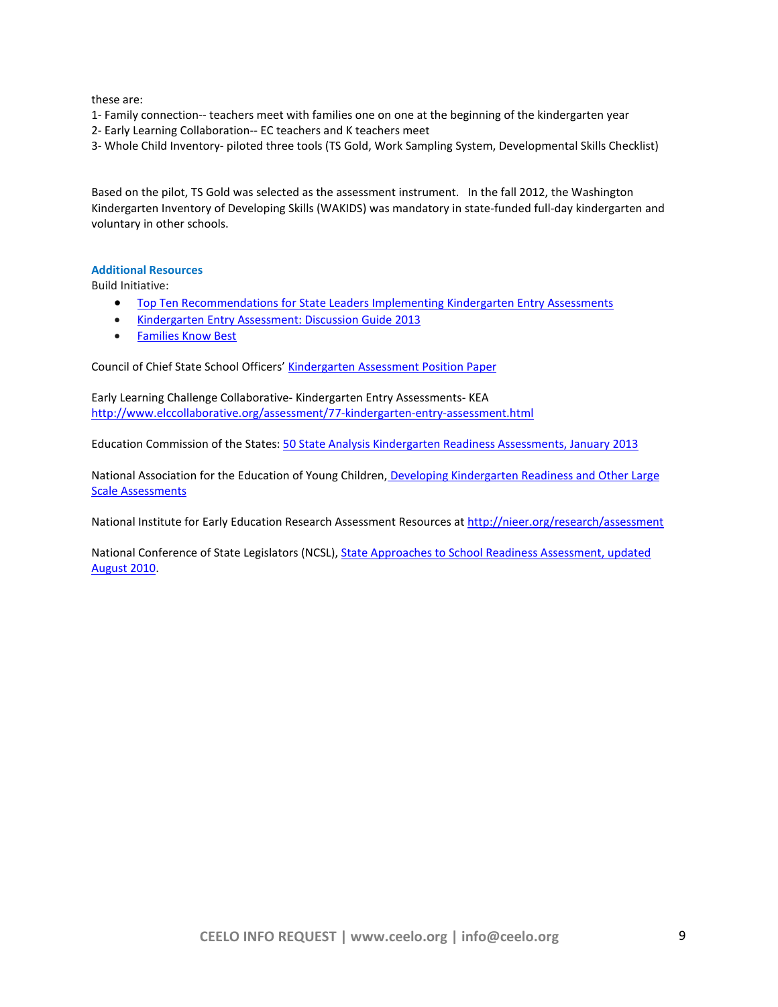these are:

1- Family connection-- teachers meet with families one on one at the beginning of the kindergarten year

2- Early Learning Collaboration-- EC teachers and K teachers meet

3- Whole Child Inventory- piloted three tools (TS Gold, Work Sampling System, Developmental Skills Checklist)

Based on the pilot, TS Gold was selected as the assessment instrument. In the fall 2012, the Washington Kindergarten Inventory of Developing Skills (WAKIDS) was mandatory in state-funded full-day kindergarten and voluntary in other schools.

# **Additional Resources**

Build Initiative:

- [Top Ten Recommendations for State Leaders Implementing Kindergarten Entry Assessments](http://www.buildinitiative.org/WhatsNew/ViewArticle/tabid/96/ArticleId/588/Top-10-Recommendations-for-Implementing-KEA.aspx)
- [Kindergarten Entry Assessment: Discussion Guide 2013](http://www.buildinitiative.org/WhatsNew/ViewArticle/tabid/96/ArticleId/662/Kindergarten-Entry-Assessment-Discussion-Guide-2013.aspx)
- [Families Know Best](http://www.buildinitiative.org/Portals/0/Uploads/Documents/FamilyKnowsBest.pdf)

Council of Chief State School Officers' [Kindergarten Assessment Position Paper](http://www.ccsso.org/Documents/CCSSO_K-Assessment_Final_7-12-11.pdf)

Early Learning Challenge Collaborative- Kindergarten Entry Assessments- KEA <http://www.elccollaborative.org/assessment/77-kindergarten-entry-assessment.html>

Education Commission of the States: 50 State Analysis [Kindergarten Readiness Assessments, January 2013](http://ecs.force.com/mbdata/mbquestU?SID=a0i70000004J3cq&rep=Kq07&Q=Q3201)

National Association for the Education of Young Children, Developing Kindergarten Readiness and Other Large [Scale Assessments](http://www.naeyc.org/resources/research/kreadinessassessment)

National Institute for Early Education Research Assessment Resources at<http://nieer.org/research/assessment>

National Conference of State Legislators (NCSL)[, State Approaches to School Readiness](http://www.ncsl.org/documents/Educ/KindergartenAssessment.pdf) Assessment, updated [August 2010.](http://www.ncsl.org/documents/Educ/KindergartenAssessment.pdf)